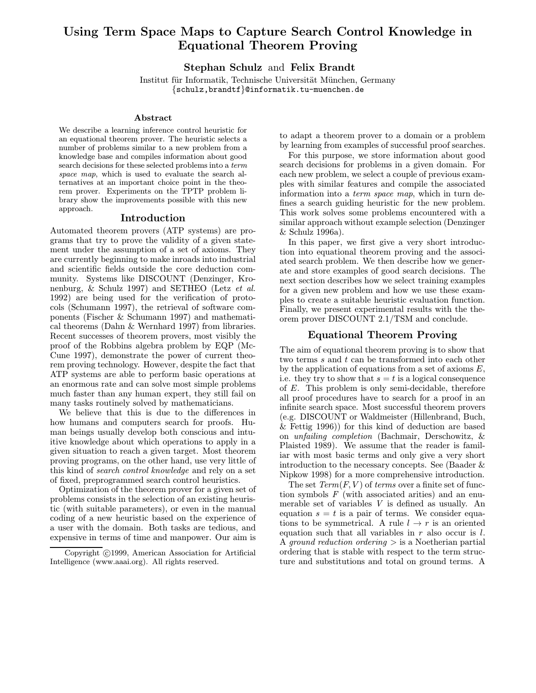# Using Term Space Maps to Capture Search Control Knowledge in Equational Theorem Proving

Stephan Schulz and Felix Brandt

Institut für Informatik, Technische Universität München, Germany {schulz,brandtf}@informatik.tu-muenchen.de

#### Abstract

We describe a learning inference control heuristic for an equational theorem prover. The heuristic selects a number of problems similar to a new problem from a knowledge base and compiles information about good search decisions for these selected problems into a term space map, which is used to evaluate the search alternatives at an important choice point in the theorem prover. Experiments on the TPTP problem library show the improvements possible with this new approach.

#### Introduction

Automated theorem provers (ATP systems) are programs that try to prove the validity of a given statement under the assumption of a set of axioms. They are currently beginning to make inroads into industrial and scientific fields outside the core deduction community. Systems like DISCOUNT (Denzinger, Kronenburg, & Schulz 1997) and SETHEO (Letz et al. 1992) are being used for the verification of protocols (Schumann 1997), the retrieval of software components (Fischer & Schumann 1997) and mathematical theorems (Dahn & Wernhard 1997) from libraries. Recent successes of theorem provers, most visibly the proof of the Robbins algebra problem by EQP (Mc-Cune 1997), demonstrate the power of current theorem proving technology. However, despite the fact that ATP systems are able to perform basic operations at an enormous rate and can solve most simple problems much faster than any human expert, they still fail on many tasks routinely solved by mathematicians.

We believe that this is due to the differences in how humans and computers search for proofs. Human beings usually develop both conscious and intuitive knowledge about which operations to apply in a given situation to reach a given target. Most theorem proving programs, on the other hand, use very little of this kind of search control knowledge and rely on a set of fixed, preprogrammed search control heuristics.

Optimization of the theorem prover for a given set of problems consists in the selection of an existing heuristic (with suitable parameters), or even in the manual coding of a new heuristic based on the experience of a user with the domain. Both tasks are tedious, and expensive in terms of time and manpower. Our aim is

to adapt a theorem prover to a domain or a problem by learning from examples of successful proof searches.

For this purpose, we store information about good search decisions for problems in a given domain. For each new problem, we select a couple of previous examples with similar features and compile the associated information into a term space map, which in turn defines a search guiding heuristic for the new problem. This work solves some problems encountered with a similar approach without example selection (Denzinger & Schulz 1996a).

In this paper, we first give a very short introduction into equational theorem proving and the associated search problem. We then describe how we generate and store examples of good search decisions. The next section describes how we select training examples for a given new problem and how we use these examples to create a suitable heuristic evaluation function. Finally, we present experimental results with the theorem prover DISCOUNT 2.1/TSM and conclude.

# Equational Theorem Proving

The aim of equational theorem proving is to show that two terms s and t can be transformed into each other by the application of equations from a set of axioms  $E$ , i.e. they try to show that  $s = t$  is a logical consequence of E. This problem is only semi-decidable, therefore all proof procedures have to search for a proof in an infinite search space. Most successful theorem provers (e.g. DISCOUNT or Waldmeister (Hillenbrand, Buch, & Fettig 1996)) for this kind of deduction are based on unfailing completion (Bachmair, Derschowitz, & Plaisted 1989). We assume that the reader is familiar with most basic terms and only give a very short introduction to the necessary concepts. See (Baader & Nipkow 1998) for a more comprehensive introduction.

The set  $Term(F, V)$  of terms over a finite set of function symbols  $F$  (with associated arities) and an enumerable set of variables V is defined as usually. An equation  $s = t$  is a pair of terms. We consider equations to be symmetrical. A rule  $l \to r$  is an oriented equation such that all variables in  $r$  also occur is  $l$ . A *ground reduction ordering*  $>$  is a Noetherian partial ordering that is stable with respect to the term structure and substitutions and total on ground terms. A

Copyright ©1999, American Association for Artificial Intelligence (www.aaai.org). All rights reserved.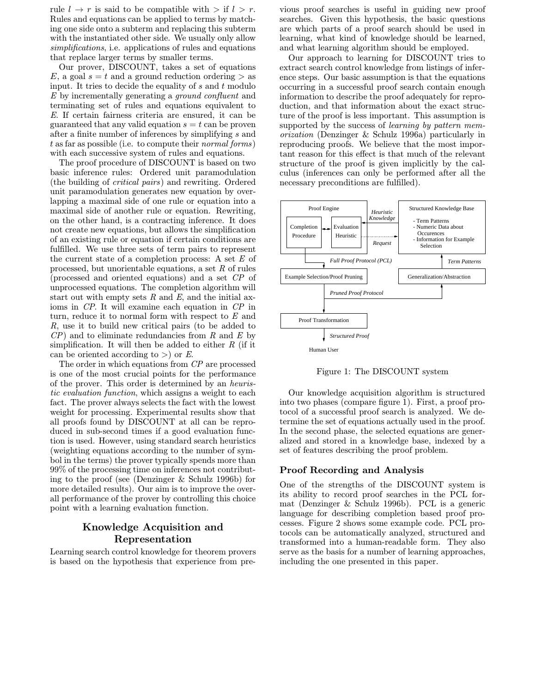rule  $l \to r$  is said to be compatible with  $>$  if  $l > r$ . Rules and equations can be applied to terms by matching one side onto a subterm and replacing this subterm with the instantiated other side. We usually only allow simplifications, i.e. applications of rules and equations that replace larger terms by smaller terms.

Our prover, DISCOUNT, takes a set of equations E, a goal  $s = t$  and a ground reduction ordering  $>$  as input. It tries to decide the equality of  $s$  and  $t$  modulo E by incrementally generating a ground confluent and terminating set of rules and equations equivalent to E. If certain fairness criteria are ensured, it can be guaranteed that any valid equation  $s = t$  can be proven after a finite number of inferences by simplifying s and t as far as possible (i.e. to compute their normal forms) with each successive system of rules and equations.

The proof procedure of DISCOUNT is based on two basic inference rules: Ordered unit paramodulation (the building of critical pairs) and rewriting. Ordered unit paramodulation generates new equation by overlapping a maximal side of one rule or equation into a maximal side of another rule or equation. Rewriting, on the other hand, is a contracting inference. It does not create new equations, but allows the simplification of an existing rule or equation if certain conditions are fulfilled. We use three sets of term pairs to represent the current state of a completion process: A set  $E$  of processed, but unorientable equations, a set  $R$  of rules (processed and oriented equations) and a set CP of unprocessed equations. The completion algorithm will start out with empty sets  $R$  and  $E$ , and the initial axioms in CP. It will examine each equation in CP in turn, reduce it to normal form with respect to  $E$  and R, use it to build new critical pairs (to be added to  $\mathbb{CP}$ ) and to eliminate redundancies from R and E by simplification. It will then be added to either  $R$  (if it can be oriented according to  $>$ ) or E.

The order in which equations from CP are processed is one of the most crucial points for the performance of the prover. This order is determined by an heuristic evaluation function, which assigns a weight to each fact. The prover always selects the fact with the lowest weight for processing. Experimental results show that all proofs found by DISCOUNT at all can be reproduced in sub-second times if a good evaluation function is used. However, using standard search heuristics (weighting equations according to the number of symbol in the terms) the prover typically spends more than 99% of the processing time on inferences not contributing to the proof (see (Denzinger & Schulz 1996b) for more detailed results). Our aim is to improve the overall performance of the prover by controlling this choice point with a learning evaluation function.

# Knowledge Acquisition and Representation

Learning search control knowledge for theorem provers is based on the hypothesis that experience from pre-

vious proof searches is useful in guiding new proof searches. Given this hypothesis, the basic questions are which parts of a proof search should be used in learning, what kind of knowledge should be learned, and what learning algorithm should be employed.

Our approach to learning for DISCOUNT tries to extract search control knowledge from listings of inference steps. Our basic assumption is that the equations occurring in a successful proof search contain enough information to describe the proof adequately for reproduction, and that information about the exact structure of the proof is less important. This assumption is supported by the success of *learning by pattern mem*orization (Denzinger & Schulz 1996a) particularly in reproducing proofs. We believe that the most important reason for this effect is that much of the relevant structure of the proof is given implicitly by the calculus (inferences can only be performed after all the necessary preconditions are fulfilled).



Figure 1: The DISCOUNT system

Our knowledge acquisition algorithm is structured into two phases (compare figure 1). First, a proof protocol of a successful proof search is analyzed. We determine the set of equations actually used in the proof. In the second phase, the selected equations are generalized and stored in a knowledge base, indexed by a set of features describing the proof problem.

# Proof Recording and Analysis

One of the strengths of the DISCOUNT system is its ability to record proof searches in the PCL format (Denzinger & Schulz 1996b). PCL is a generic language for describing completion based proof processes. Figure 2 shows some example code. PCL protocols can be automatically analyzed, structured and transformed into a human-readable form. They also serve as the basis for a number of learning approaches, including the one presented in this paper.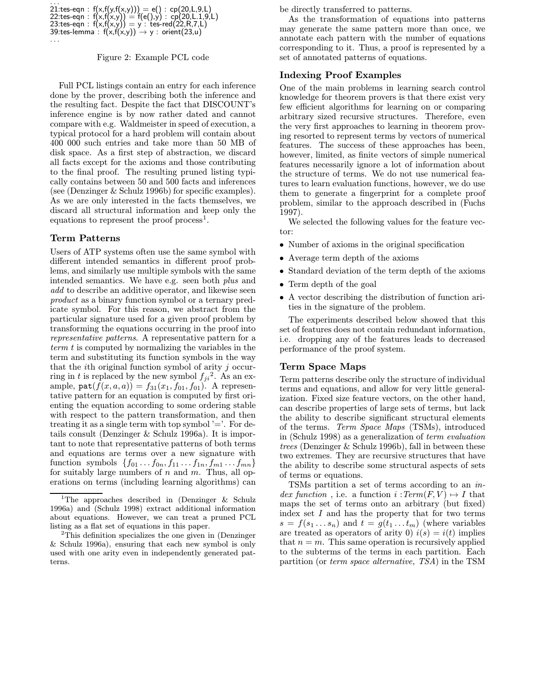| 21:tes-eqn : $f(x,f(y,f(x,y))) = e() : cp(20,L,9,L)$<br>22:tes-eqn : $f(x,f(x,y)) = f(e(),y) : cp(20,L.1,9,L)$<br>23:tes-eqn : $f(x,f(x,y)) = y : t$ es-red(22,R,7,L)<br>39:tes-lemma : $f(x,f(x,y)) \rightarrow y : orient(23,u)$ |
|------------------------------------------------------------------------------------------------------------------------------------------------------------------------------------------------------------------------------------|
|------------------------------------------------------------------------------------------------------------------------------------------------------------------------------------------------------------------------------------|

. . .

#### Figure 2: Example PCL code

Full PCL listings contain an entry for each inference done by the prover, describing both the inference and the resulting fact. Despite the fact that DISCOUNT's inference engine is by now rather dated and cannot compare with e.g. Waldmeister in speed of execution, a typical protocol for a hard problem will contain about 400 000 such entries and take more than 50 MB of disk space. As a first step of abstraction, we discard all facts except for the axioms and those contributing to the final proof. The resulting pruned listing typically contains between 50 and 500 facts and inferences (see (Denzinger & Schulz 1996b) for specific examples). As we are only interested in the facts themselves, we discard all structural information and keep only the equations to represent the proof process<sup>1</sup>.

## Term Patterns

Users of ATP systems often use the same symbol with different intended semantics in different proof problems, and similarly use multiple symbols with the same intended semantics. We have e.g. seen both plus and add to describe an additive operator, and likewise seen product as a binary function symbol or a ternary predicate symbol. For this reason, we abstract from the particular signature used for a given proof problem by transforming the equations occurring in the proof into representative patterns. A representative pattern for a term t is computed by normalizing the variables in the term and substituting its function symbols in the way that the ith original function symbol of arity j occurring in t is replaced by the new symbol  $f_{ji}^2$ . As an example,  $\texttt{pat}(f(x, a, a)) = f_{31}(x_1, f_{01}, f_{01})$ . A representative pattern for an equation is computed by first orienting the equation according to some ordering stable with respect to the pattern transformation, and then treating it as a single term with top symbol  $=$ . For details consult (Denzinger & Schulz 1996a). It is important to note that representative patterns of both terms and equations are terms over a new signature with function symbols  $\{f_{01} \ldots f_{0n}, f_{11} \ldots f_{1n}, f_{m1} \ldots f_{mn}\}\$ for suitably large numbers of  $n$  and  $m$ . Thus, all operations on terms (including learning algorithms) can be directly transferred to patterns.

As the transformation of equations into patterns may generate the same pattern more than once, we annotate each pattern with the number of equations corresponding to it. Thus, a proof is represented by a set of annotated patterns of equations.

## Indexing Proof Examples

One of the main problems in learning search control knowledge for theorem provers is that there exist very few efficient algorithms for learning on or comparing arbitrary sized recursive structures. Therefore, even the very first approaches to learning in theorem proving resorted to represent terms by vectors of numerical features. The success of these approaches has been, however, limited, as finite vectors of simple numerical features necessarily ignore a lot of information about the structure of terms. We do not use numerical features to learn evaluation functions, however, we do use them to generate a fingerprint for a complete proof problem, similar to the approach described in (Fuchs 1997).

We selected the following values for the feature vector:

- Number of axioms in the original specification
- Average term depth of the axioms
- Standard deviation of the term depth of the axioms
- Term depth of the goal
- A vector describing the distribution of function arities in the signature of the problem.

The experiments described below showed that this set of features does not contain redundant information, i.e. dropping any of the features leads to decreased performance of the proof system.

# Term Space Maps

Term patterns describe only the structure of individual terms and equations, and allow for very little generalization. Fixed size feature vectors, on the other hand, can describe properties of large sets of terms, but lack the ability to describe significant structural elements of the terms. Term Space Maps (TSMs), introduced in (Schulz 1998) as a generalization of term evaluation trees (Denzinger & Schulz 1996b), fall in between these two extremes. They are recursive structures that have the ability to describe some structural aspects of sets of terms or equations.

TSMs partition a set of terms according to an index function, i.e. a function  $i : Term(F, V) \rightarrow I$  that maps the set of terms onto an arbitrary (but fixed) index set  $I$  and has the property that for two terms  $s = f(s_1 \dots s_n)$  and  $t = g(t_1 \dots t_m)$  (where variables are treated as operators of arity 0)  $i(s) = i(t)$  implies that  $n = m$ . This same operation is recursively applied to the subterms of the terms in each partition. Each partition (or term space alternative, TSA) in the TSM

<sup>&</sup>lt;sup>1</sup>The approaches described in (Denzinger & Schulz 1996a) and (Schulz 1998) extract additional information about equations. However, we can treat a pruned PCL listing as a flat set of equations in this paper.

<sup>2</sup>This definition specializes the one given in (Denzinger & Schulz 1996a), ensuring that each new symbol is only used with one arity even in independently generated patterns.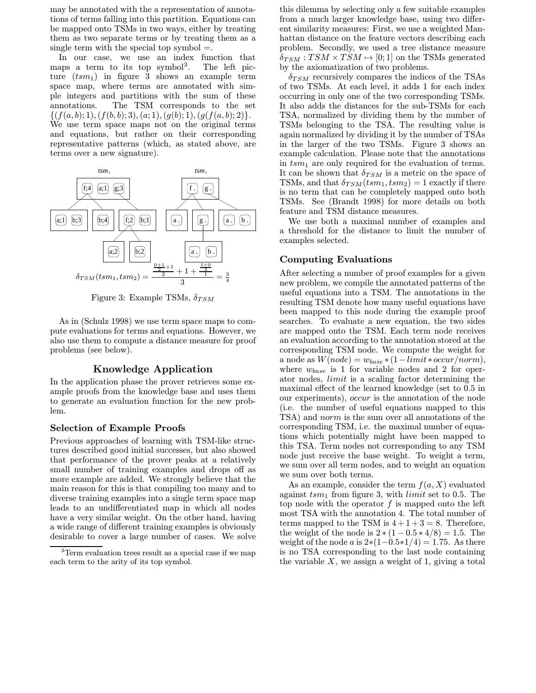may be annotated with the a representation of annotations of terms falling into this partition. Equations can be mapped onto TSMs in two ways, either by treating them as two separate terms or by treating them as a single term with the special top symbol  $=$ .

In our case, we use an index function that maps a term to its top symbol<sup>3</sup>. . The left picture  $(tsm_1)$  in figure 3 shows an example term space map, where terms are annotated with simple integers and partitions with the sum of these annotations. The TSM corresponds to the set  $\{(f(a, b); 1), (f(b, b); 3), (a; 1), (g(b); 1), (g(f(a, b); 2)\}.$ We use term space maps not on the original terms and equations, but rather on their corresponding representative patterns (which, as stated above, are terms over a new signature).



Figure 3: Example TSMs,  $\delta_{TSM}$ 

As in (Schulz 1998) we use term space maps to compute evaluations for terms and equations. However, we also use them to compute a distance measure for proof problems (see below).

# Knowledge Application

In the application phase the prover retrieves some example proofs from the knowledge base and uses them to generate an evaluation function for the new problem.

#### Selection of Example Proofs

Previous approaches of learning with TSM-like structures described good initial successes, but also showed that performance of the prover peaks at a relatively small number of training examples and drops off as more example are added. We strongly believe that the main reason for this is that compiling too many and to diverse training examples into a single term space map leads to an undifferentiated map in which all nodes have a very similar weight. On the other hand, having a wide range of different training examples is obviously desirable to cover a large number of cases. We solve

this dilemma by selecting only a few suitable examples from a much larger knowledge base, using two different similarity measures: First, we use a weighted Manhattan distance on the feature vectors describing each problem. Secondly, we used a tree distance measure  $\delta_{TSM}: TSM \times TSM \mapsto [0;1]$  on the TSMs generated by the axiomatization of two problems.

 $\delta_{TSM}$  recursively compares the indices of the TSAs of two TSMs. At each level, it adds 1 for each index occurring in only one of the two corresponding TSMs. It also adds the distances for the sub-TSMs for each TSA, normalized by dividing them by the number of TSMs belonging to the TSA. The resulting value is again normalized by dividing it by the number of TSAs in the larger of the two TSMs. Figure 3 shows an example calculation. Please note that the annotations in  $t s m_1$  are only required for the evaluation of terms. It can be shown that  $\delta_{TSM}$  is a metric on the space of TSMs, and that  $\delta_{TSM}(tsm_1,tsm_2) = 1$  exactly if there is no term that can be completely mapped onto both TSMs. See (Brandt 1998) for more details on both feature and TSM distance measures.

We use both a maximal number of examples and a threshold for the distance to limit the number of examples selected.

# Computing Evaluations

After selecting a number of proof examples for a given new problem, we compile the annotated patterns of the useful equations into a TSM. The annotations in the resulting TSM denote how many useful equations have been mapped to this node during the example proof searches. To evaluate a new equation, the two sides are mapped onto the TSM. Each term node receives an evaluation according to the annotation stored at the corresponding TSM node. We compute the weight for a node as  $W(node) = w_{base} * (1 - limit * occur/norm),$ where  $w_{base}$  is 1 for variable nodes and 2 for operator nodes, limit is a scaling factor determining the maximal effect of the learned knowledge (set to 0.5 in our experiments), occur is the annotation of the node (i.e. the number of useful equations mapped to this TSA) and norm is the sum over all annotations of the corresponding TSM, i.e. the maximal number of equations which potentially might have been mapped to this TSA. Term nodes not corresponding to any TSM node just receive the base weight. To weight a term, we sum over all term nodes, and to weight an equation we sum over both terms.

As an example, consider the term  $f(a, X)$  evaluated against  $t s m_1$  from figure 3, with *limit* set to 0.5. The top node with the operator  $f$  is mapped onto the left most TSA with the annotation 4. The total number of terms mapped to the TSM is  $4+1+3=8$ . Therefore, the weight of the node is  $2*(1-0.5*4/8) = 1.5$ . The weight of the node a is  $2*(1-0.5*1/4) = 1.75$ . As there is no TSA corresponding to the last node containing the variable  $X$ , we assign a weight of 1, giving a total

<sup>&</sup>lt;sup>3</sup>Term evaluation trees result as a special case if we map each term to the arity of its top symbol.